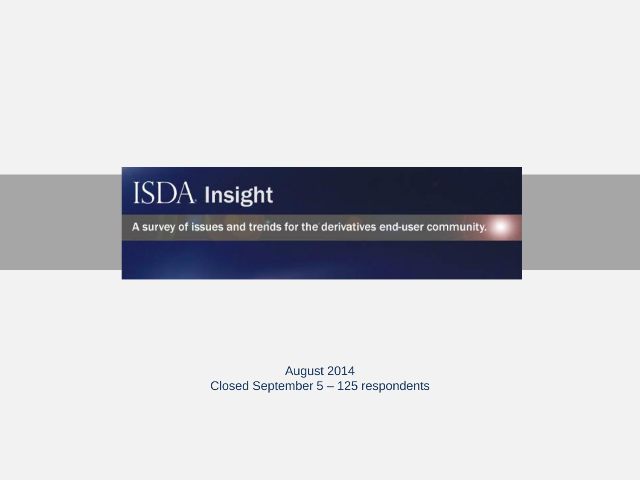# ISDA Insight

A survey of issues and trends for the derivatives end-user community.

August 2014 Closed September 5 – 125 respondents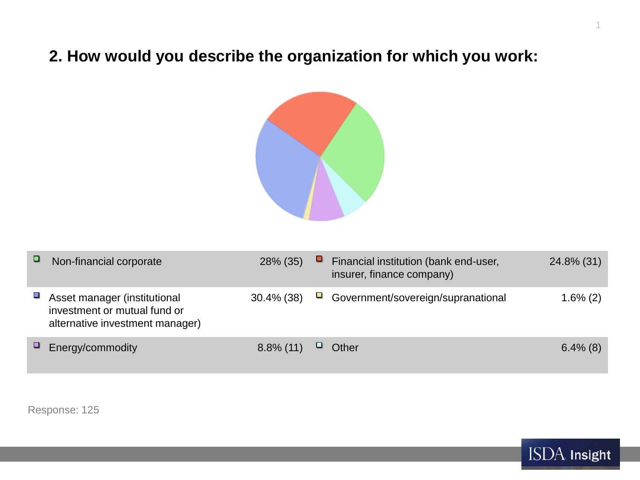## **2. How would you describe the organization for which you work:**



| ▫ | Non-financial corporate                                                                         | 28% (35)      | ч | Financial institution (bank end-user,<br>insurer, finance company) | 24.8% (31)  |
|---|-------------------------------------------------------------------------------------------------|---------------|---|--------------------------------------------------------------------|-------------|
|   | Asset manager (institutional<br>investment or mutual fund or<br>alternative investment manager) | $30.4\%$ (38) | ш | Government/sovereign/supranational                                 | $1.6\%$ (2) |
|   | Energy/commodity                                                                                | $8.8\%$ (11)  | ⊔ | Other                                                              | $6.4\%$ (8) |

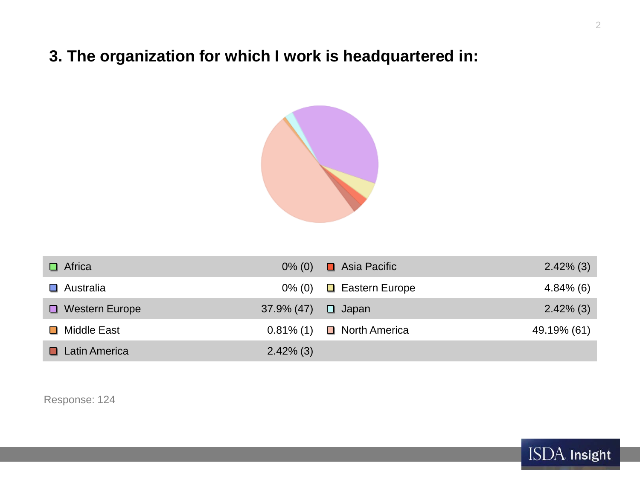## **3. The organization for which I work is headquartered in:**



| $\Box$ Africa         | $0\%$ (0)    | ■ Asia Pacific        | $2.42\%$ (3) |
|-----------------------|--------------|-----------------------|--------------|
| $\Box$ Australia      | $0\%$ (0)    | $\Box$ Eastern Europe | $4.84\%$ (6) |
| $\Box$ Western Europe | 37.9% (47)   | $\Box$ Japan          | $2.42\%$ (3) |
| □ Middle East         | $0.81\%$ (1) | □ North America       | 49.19% (61)  |
| $\Box$ Latin America  | $2.42\%$ (3) |                       |              |

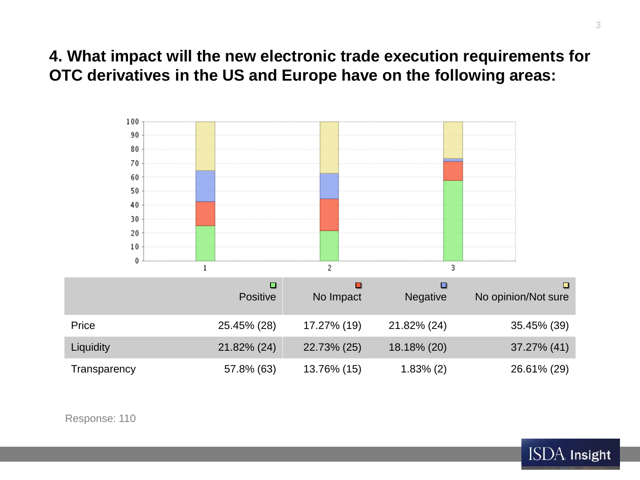### **4. What impact will the new electronic trade execution requirements for OTC derivatives in the US and Europe have on the following areas:**



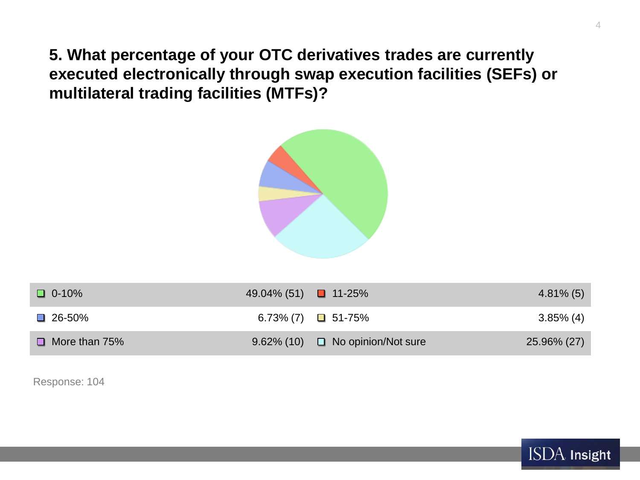**5. What percentage of your OTC derivatives trades are currently executed electronically through swap execution facilities (SEFs) or multilateral trading facilities (MTFs)?**



| $\Box$ 0-10%         | 49.04% (51) $\Box$ 11-25% |                                          | $4.81\%$ (5) |
|----------------------|---------------------------|------------------------------------------|--------------|
| $\Box$ 26-50%        |                           | 6.73% (7) $\Box$ 51-75%                  | $3.85\%$ (4) |
| $\Box$ More than 75% |                           | $9.62\%$ (10) $\Box$ No opinion/Not sure | 25.96% (27)  |

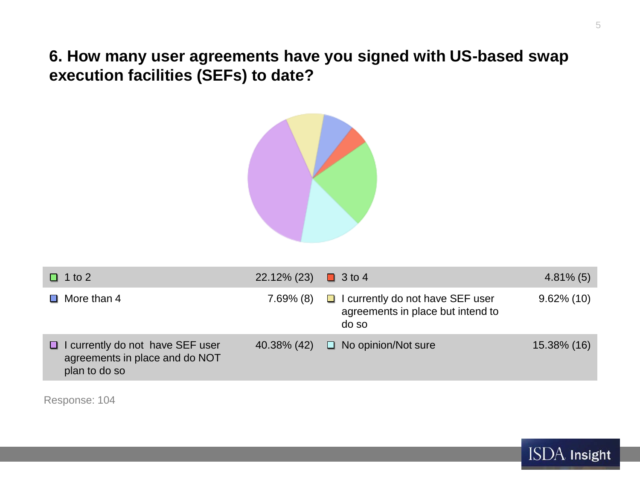**6. How many user agreements have you signed with US-based swap execution facilities (SEFs) to date?**



| $\Box$ 1 to 2                                                                            | 22.12% (23)  | $\Box$ 3 to 4                                                                         | $4.81\%$ (5)  |
|------------------------------------------------------------------------------------------|--------------|---------------------------------------------------------------------------------------|---------------|
| $\Box$ More than 4                                                                       | $7.69\%$ (8) | $\Box$ I currently do not have SEF user<br>agreements in place but intend to<br>do so | $9.62\%$ (10) |
| I currently do not have SEF user<br>ш<br>agreements in place and do NOT<br>plan to do so | 40.38% (42)  | $\Box$ No opinion/Not sure                                                            | 15.38% (16)   |

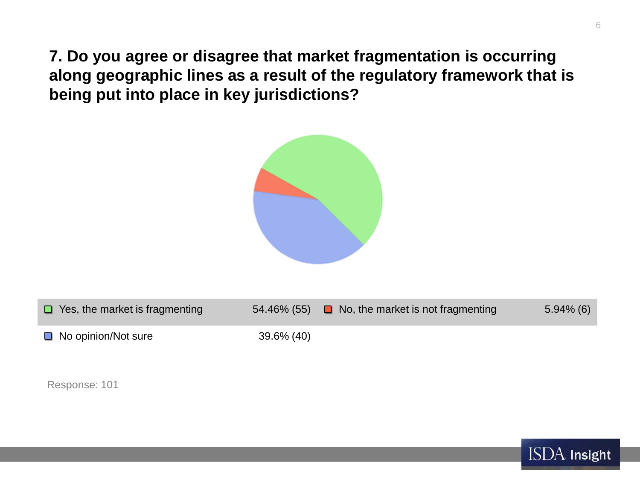**7. Do you agree or disagree that market fragmentation is occurring along geographic lines as a result of the regulatory framework that is being put into place in key jurisdictions?**



| $\Box$ Yes, the market is fragmenting |               | $54.46\%$ (55) $\Box$ No, the market is not fragmenting | $5.94\%$ (6) |
|---------------------------------------|---------------|---------------------------------------------------------|--------------|
| $\Box$ No opinion/Not sure            | $39.6\%$ (40) |                                                         |              |

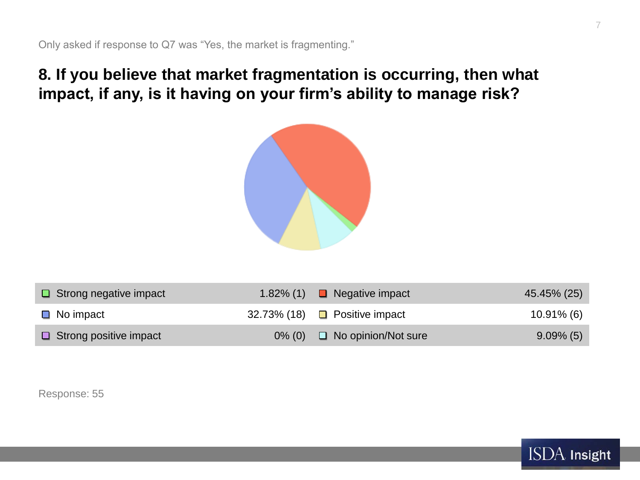## **8. If you believe that market fragmentation is occurring, then what impact, if any, is it having on your firm's ability to manage risk?**



| $\Box$ Strong negative impact | $1.82\%$ (1) | $\Box$ Negative impact               | 45.45% (25)   |
|-------------------------------|--------------|--------------------------------------|---------------|
| $\Box$ No impact              |              | 32.73% (18) $\Box$ Positive impact   | $10.91\%$ (6) |
| $\Box$ Strong positive impact |              | $0\%$ (0) $\Box$ No opinion/Not sure | $9.09\%$ (5)  |

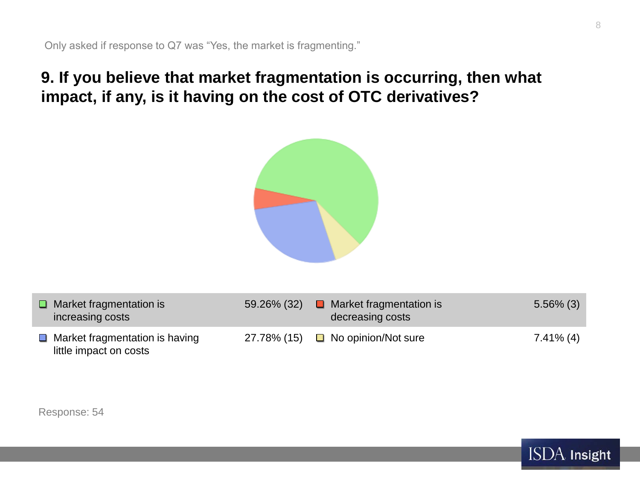## **9. If you believe that market fragmentation is occurring, then what impact, if any, is it having on the cost of OTC derivatives?**



| $\Box$ Market fragmentation is<br>increasing costs              | 59.26% (32) | $\Box$ Market fragmentation is<br>decreasing costs | $5.56\%$ (3) |
|-----------------------------------------------------------------|-------------|----------------------------------------------------|--------------|
| $\Box$ Market fragmentation is having<br>little impact on costs |             | 27.78% (15) $\Box$ No opinion/Not sure             | 7.41% (4)    |

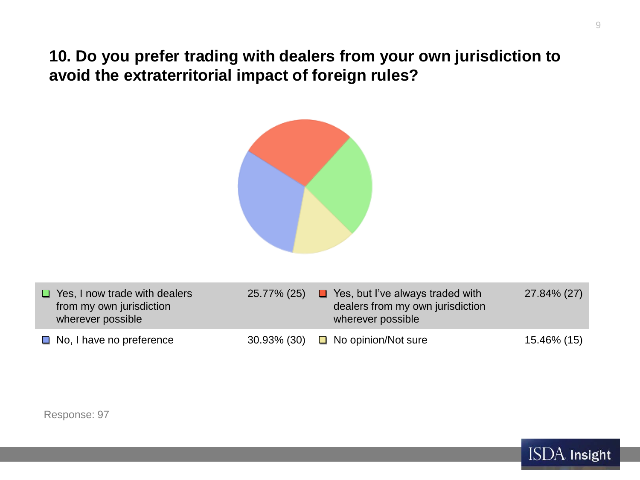**10. Do you prefer trading with dealers from your own jurisdiction to avoid the extraterritorial impact of foreign rules?**



| $\Box$ Yes, I now trade with dealers<br>from my own jurisdiction<br>wherever possible | 25.77% (25) | $\blacksquare$ Yes, but I've always traded with<br>dealers from my own jurisdiction<br>wherever possible | 27.84% (27) |
|---------------------------------------------------------------------------------------|-------------|----------------------------------------------------------------------------------------------------------|-------------|
| $\Box$ No, I have no preference                                                       |             | 30.93% (30) $\Box$ No opinion/Not sure                                                                   | 15.46% (15) |

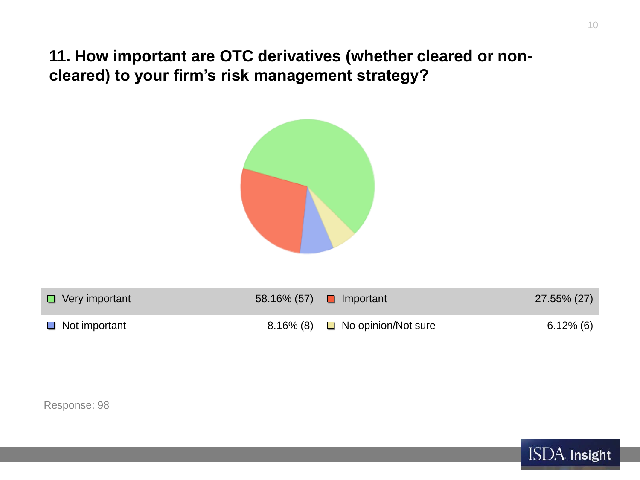**11. How important are OTC derivatives (whether cleared or noncleared) to your firm's risk management strategy?**



| $\Box$ Very important | $58.16\%$ (57) <b>u</b> Important    | 27.55% (27) |
|-----------------------|--------------------------------------|-------------|
| $\Box$ Not important  | 8.16% (8) $\Box$ No opinion/Not sure | 6.12% (6)   |



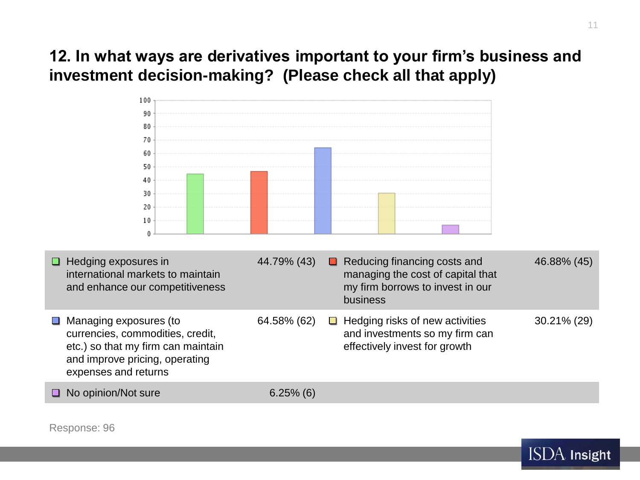# **12. In what ways are derivatives important to your firm's business and investment decision-making? (Please check all that apply)**



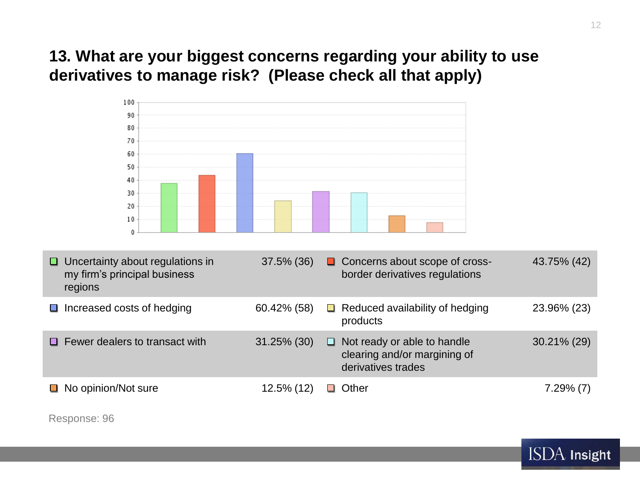# **13. What are your biggest concerns regarding your ability to use derivatives to manage risk? (Please check all that apply)**



| Uncertainty about regulations in<br>⊔<br>my firm's principal business<br>regions | $37.5\%$ (36)  | □ Concerns about scope of cross-<br>border derivatives regulations                     | 43.75% (42)  |
|----------------------------------------------------------------------------------|----------------|----------------------------------------------------------------------------------------|--------------|
| Increased costs of hedging<br><b>Contract</b>                                    | 60.42% (58)    | $\Box$ Reduced availability of hedging<br>products                                     | 23.96% (23)  |
| $\Box$ Fewer dealers to transact with                                            | $31.25\%$ (30) | Not ready or able to handle<br>⊔<br>clearing and/or margining of<br>derivatives trades | 30.21% (29)  |
| $\Box$ No opinion/Not sure                                                       | 12.5% (12)     | □ Other                                                                                | $7.29\%$ (7) |

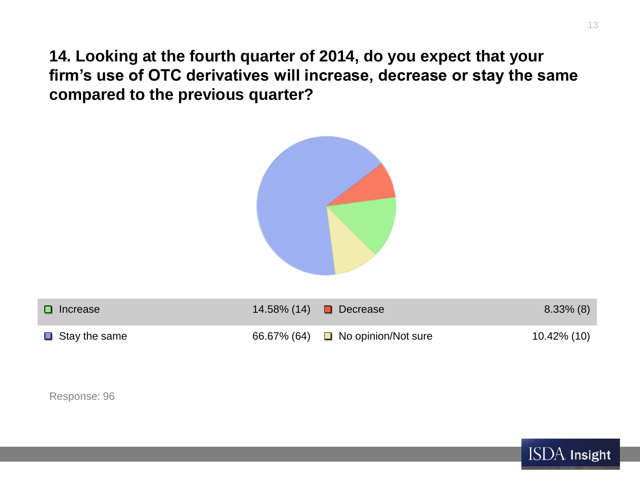**14. Looking at the fourth quarter of 2014, do you expect that your firm's use of OTC derivatives will increase, decrease or stay the same compared to the previous quarter?**



| $\Box$ Increase      | 14.58% (14) ■ Decrease                 | $8.33\%$ (8) |
|----------------------|----------------------------------------|--------------|
| $\Box$ Stay the same | 66.67% (64) $\Box$ No opinion/Not sure | 10.42% (10)  |

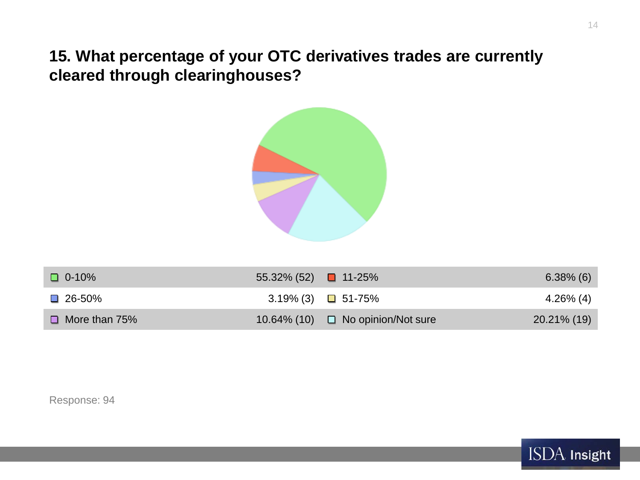**15. What percentage of your OTC derivatives trades are currently cleared through clearinghouses?**



| $\Box$ 0-10%         | 55.32% (52) $\Box$ 11-25%  |                                        | $6.38\%$ (6) |
|----------------------|----------------------------|----------------------------------------|--------------|
| $\square$ 26-50%     | $3.19\%$ (3) $\Box$ 51-75% |                                        | 4.26% (4)    |
| $\Box$ More than 75% |                            | 10.64% (10) $\Box$ No opinion/Not sure | 20.21% (19)  |

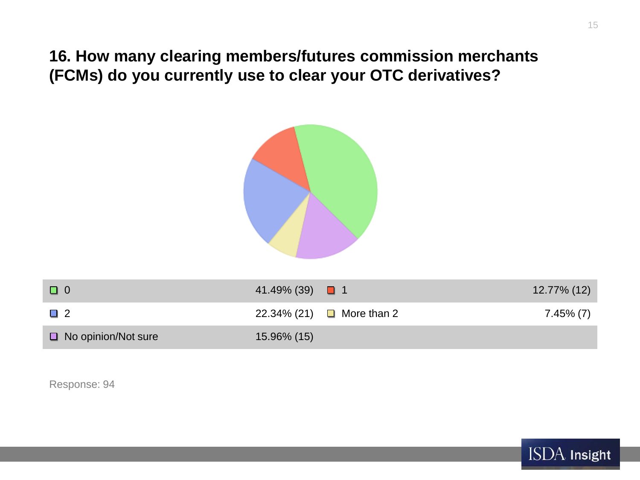**16. How many clearing members/futures commission merchants (FCMs) do you currently use to clear your OTC derivatives?**



| $\Box$                     | 41.49% (39) $\Box$ 1 |                           | 12.77% (12) |
|----------------------------|----------------------|---------------------------|-------------|
| $\Box$ 2                   |                      | 22.34% (21) □ More than 2 | 7.45% (7)   |
| $\Box$ No opinion/Not sure | 15.96% (15)          |                           |             |

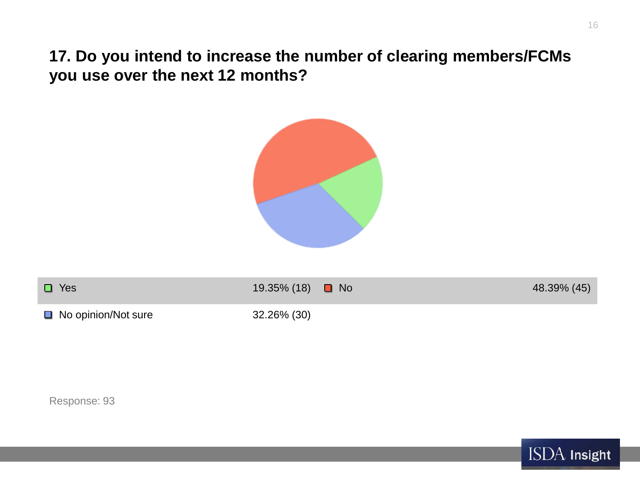**17. Do you intend to increase the number of clearing members/FCMs you use over the next 12 months?**



| $\Box$ Yes                 | 19.35% (18) ■ No | 48.39% (45) |
|----------------------------|------------------|-------------|
| $\Box$ No opinion/Not sure | 32.26% (30)      |             |